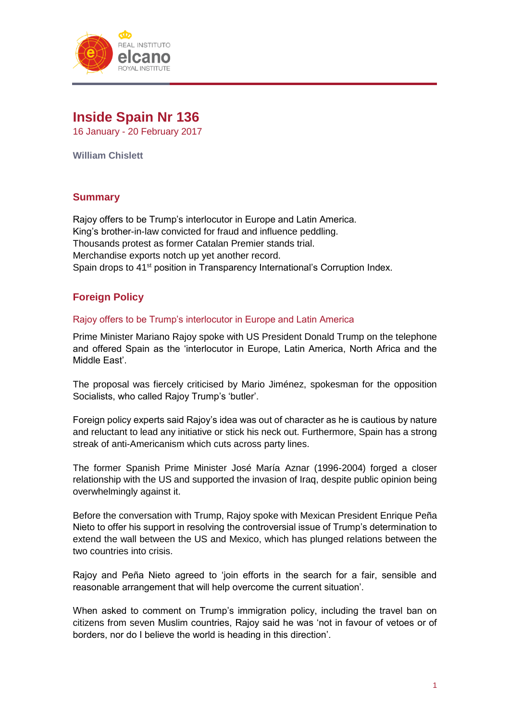

# **Inside Spain Nr 136** 16 January - 20 February 2017

**William Chislett**

## **Summary**

Rajoy offers to be Trump's interlocutor in Europe and Latin America. King's brother-in-law convicted for fraud and influence peddling. Thousands protest as former Catalan Premier stands trial. Merchandise exports notch up yet another record. Spain drops to 41<sup>st</sup> position in Transparency International's Corruption Index.

# **Foreign Policy**

### Rajoy offers to be Trump's interlocutor in Europe and Latin America

Prime Minister Mariano Rajoy spoke with US President Donald Trump on the telephone and offered Spain as the 'interlocutor in Europe, Latin America, North Africa and the Middle East'.

The proposal was fiercely criticised by Mario Jiménez, spokesman for the opposition Socialists, who called Rajoy Trump's 'butler'.

Foreign policy experts said Rajoy's idea was out of character as he is cautious by nature and reluctant to lead any initiative or stick his neck out. Furthermore, Spain has a strong streak of anti-Americanism which cuts across party lines.

The former Spanish Prime Minister José María Aznar (1996-2004) forged a closer relationship with the US and supported the invasion of Iraq, despite public opinion being overwhelmingly against it.

Before the conversation with Trump, Rajoy spoke with Mexican President Enrique Peña Nieto to offer his support in resolving the controversial issue of Trump's determination to extend the wall between the US and Mexico, which has plunged relations between the two countries into crisis.

Rajoy and Peña Nieto agreed to 'join efforts in the search for a fair, sensible and reasonable arrangement that will help overcome the current situation'.

When asked to comment on Trump's immigration policy, including the travel ban on citizens from seven Muslim countries, Rajoy said he was 'not in favour of vetoes or of borders, nor do I believe the world is heading in this direction'.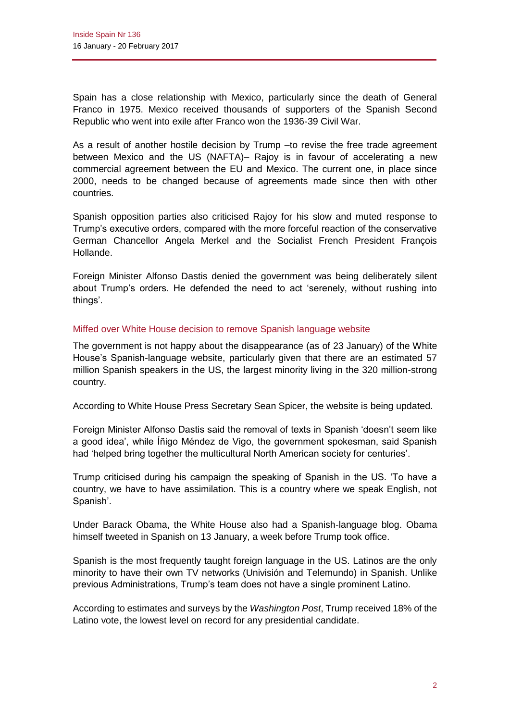Spain has a close relationship with Mexico, particularly since the death of General Franco in 1975. Mexico received thousands of supporters of the Spanish Second Republic who went into exile after Franco won the 1936-39 Civil War.

As a result of another hostile decision by Trump –to revise the free trade agreement between Mexico and the US (NAFTA)– Rajoy is in favour of accelerating a new commercial agreement between the EU and Mexico. The current one, in place since 2000, needs to be changed because of agreements made since then with other countries.

Spanish opposition parties also criticised Rajoy for his slow and muted response to Trump's executive orders, compared with the more forceful reaction of the conservative German Chancellor Angela Merkel and the Socialist French President François Hollande.

Foreign Minister Alfonso Dastis denied the government was being deliberately silent about Trump's orders. He defended the need to act 'serenely, without rushing into things'.

### Miffed over White House decision to remove Spanish language website

The government is not happy about the disappearance (as of 23 January) of the White House's Spanish-language website, particularly given that there are an estimated 57 million Spanish speakers in the US, the largest minority living in the 320 million-strong country.

According to White House Press Secretary Sean Spicer, the website is being updated.

Foreign Minister Alfonso Dastis said the removal of texts in Spanish 'doesn't seem like a good idea', while Íñigo Méndez de Vigo, the government spokesman, said Spanish had 'helped bring together the multicultural North American society for centuries'.

Trump criticised during his campaign the speaking of Spanish in the US. 'To have a country, we have to have assimilation. This is a country where we speak English, not Spanish'.

Under Barack Obama, the White House also had a Spanish-language blog. Obama himself tweeted in Spanish on 13 January, a week before Trump took office.

Spanish is the most frequently taught foreign language in the US. Latinos are the only minority to have their own TV networks (Univisión and Telemundo) in Spanish. Unlike previous Administrations, Trump's team does not have a single prominent Latino.

According to estimates and surveys by the *Washington Post*, Trump received 18% of the Latino vote, the lowest level on record for any presidential candidate.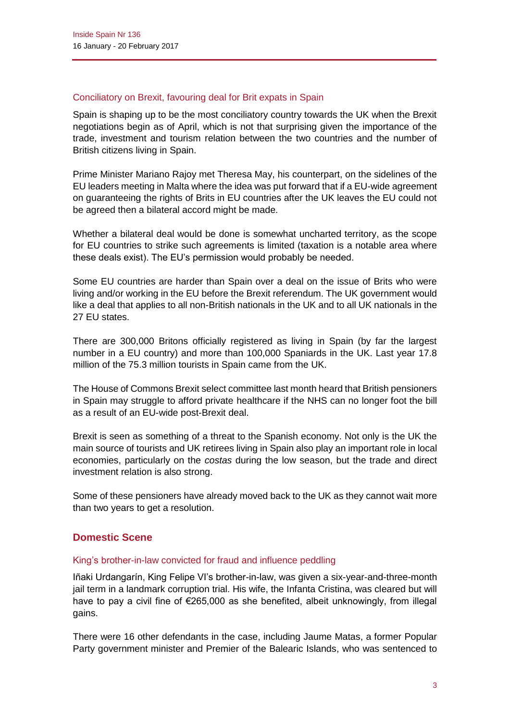### Conciliatory on Brexit, favouring deal for Brit expats in Spain

Spain is shaping up to be the most conciliatory country towards the UK when the Brexit negotiations begin as of April, which is not that surprising given the importance of the trade, investment and tourism relation between the two countries and the number of British citizens living in Spain.

Prime Minister Mariano Rajoy met Theresa May, his counterpart, on the sidelines of the EU leaders meeting in Malta where the idea was put forward that if a EU-wide agreement on guaranteeing the rights of Brits in EU countries after the UK leaves the EU could not be agreed then a bilateral accord might be made.

Whether a bilateral deal would be done is somewhat uncharted territory, as the scope for EU countries to strike such agreements is limited (taxation is a notable area where these deals exist). The EU's permission would probably be needed.

Some EU countries are harder than Spain over a deal on the issue of Brits who were living and/or working in the EU before the Brexit referendum. The UK government would like a deal that applies to all non-British nationals in the UK and to all UK nationals in the 27 EU states.

There are 300,000 Britons officially registered as living in Spain (by far the largest number in a EU country) and more than 100,000 Spaniards in the UK. Last year 17.8 million of the 75.3 million tourists in Spain came from the UK.

The House of Commons Brexit select committee last month heard that British pensioners in Spain may struggle to afford private healthcare if the NHS can no longer foot the bill as a result of an EU-wide post-Brexit deal.

Brexit is seen as something of a threat to the Spanish economy. Not only is the UK the main source of tourists and UK retirees living in Spain also play an important role in local economies, particularly on the *costas* during the low season, but the trade and direct investment relation is also strong.

Some of these pensioners have already moved back to the UK as they cannot wait more than two years to get a resolution.

## **Domestic Scene**

### King's brother-in-law convicted for fraud and influence peddling

Iñaki Urdangarín, King Felipe VI's brother-in-law, was given a six-year-and-three-month jail term in a landmark corruption trial. His wife, the Infanta Cristina, was cleared but will have to pay a civil fine of €265,000 as she benefited, albeit unknowingly, from illegal gains.

There were 16 other defendants in the case, including Jaume Matas, a former Popular Party government minister and Premier of the Balearic Islands, who was sentenced to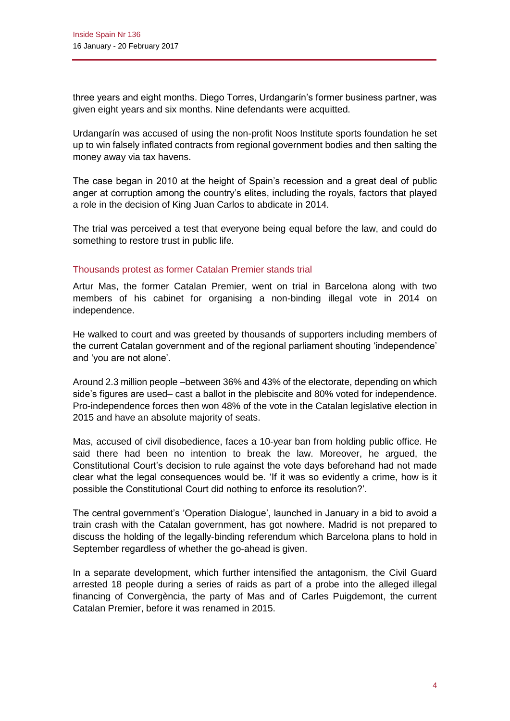three years and eight months. Diego Torres, Urdangarín's former business partner, was given eight years and six months. Nine defendants were acquitted.

Urdangarín was accused of using the non-profit Noos Institute sports foundation he set up to win falsely inflated contracts from regional government bodies and then salting the money away via tax havens.

The case began in 2010 at the height of Spain's recession and a great deal of public anger at corruption among the country's elites, including the royals, factors that played a role in the decision of King Juan Carlos to abdicate in 2014.

The trial was perceived a test that everyone being equal before the law, and could do something to restore trust in public life.

### Thousands protest as former Catalan Premier stands trial

Artur Mas, the former Catalan Premier, went on trial in Barcelona along with two members of his cabinet for organising a non-binding illegal vote in 2014 on independence.

He walked to court and was greeted by thousands of supporters including members of the current Catalan government and of the regional parliament shouting 'independence' and 'you are not alone'.

Around 2.3 million people –between 36% and 43% of the electorate, depending on which side's figures are used– cast a ballot in the plebiscite and 80% voted for independence. Pro-independence forces then won 48% of the vote in the Catalan legislative election in 2015 and have an absolute majority of seats.

Mas, accused of civil disobedience, faces a 10-year ban from holding public office. He said there had been no intention to break the law. Moreover, he argued, the Constitutional Court's decision to rule against the vote days beforehand had not made clear what the legal consequences would be. 'If it was so evidently a crime, how is it possible the Constitutional Court did nothing to enforce its resolution?'.

The central government's 'Operation Dialogue', launched in January in a bid to avoid a train crash with the Catalan government, has got nowhere. Madrid is not prepared to discuss the holding of the legally-binding referendum which Barcelona plans to hold in September regardless of whether the go-ahead is given.

In a separate development, which further intensified the antagonism, the Civil Guard arrested 18 people during a series of raids as part of a probe into the alleged illegal financing of Convergència, the party of Mas and of Carles Puigdemont, the current Catalan Premier, before it was renamed in 2015.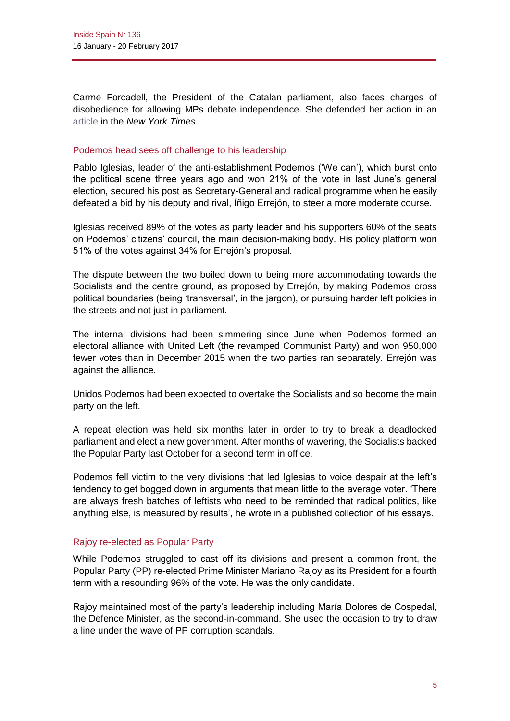Carme Forcadell, the President of the Catalan parliament, also faces charges of disobedience for allowing MPs debate independence. She defended her action in a[n](https://www.nytimes.com/2017/01/30/opinion/defending-freedom-in-catalonia.html) [article](https://www.nytimes.com/2017/01/30/opinion/defending-freedom-in-catalonia.html) in the *New York Times*.

### Podemos head sees off challenge to his leadership

Pablo Iglesias, leader of the anti-establishment Podemos ('We can'), which burst onto the political scene three years ago and won 21% of the vote in last June's general election, secured his post as Secretary-General and radical programme when he easily defeated a bid by his deputy and rival, Íñigo Errejón, to steer a more moderate course.

Iglesias received 89% of the votes as party leader and his supporters 60% of the seats on Podemos' citizens' council, the main decision-making body. His policy platform won 51% of the votes against 34% for Errejón's proposal.

The dispute between the two boiled down to being more accommodating towards the Socialists and the centre ground, as proposed by Errejón, by making Podemos cross political boundaries (being 'transversal', in the jargon), or pursuing harder left policies in the streets and not just in parliament.

The internal divisions had been simmering since June when Podemos formed an electoral alliance with United Left (the revamped Communist Party) and won 950,000 fewer votes than in December 2015 when the two parties ran separately. Errejón was against the alliance.

Unidos Podemos had been expected to overtake the Socialists and so become the main party on the left.

A repeat election was held six months later in order to try to break a deadlocked parliament and elect a new government. After months of wavering, the Socialists backed the Popular Party last October for a second term in office.

Podemos fell victim to the very divisions that led Iglesias to voice despair at the left's tendency to get bogged down in arguments that mean little to the average voter. 'There are always fresh batches of leftists who need to be reminded that radical politics, like anything else, is measured by results', he wrote in a published collection of his essays.

### Rajoy re-elected as Popular Party

While Podemos struggled to cast off its divisions and present a common front, the Popular Party (PP) re-elected Prime Minister Mariano Rajoy as its President for a fourth term with a resounding 96% of the vote. He was the only candidate.

Rajoy maintained most of the party's leadership including María Dolores de Cospedal, the Defence Minister, as the second-in-command. She used the occasion to try to draw a line under the wave of PP corruption scandals.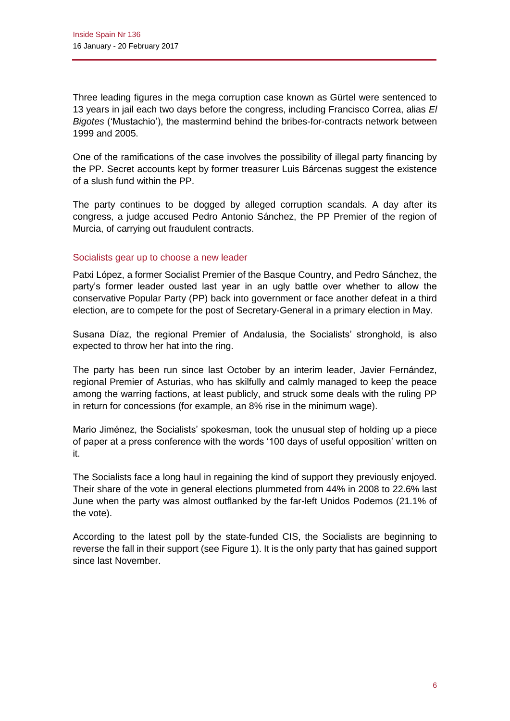Three leading figures in the mega corruption case known as Gürtel were sentenced to 13 years in jail each two days before the congress, including Francisco Correa, alias *El Bigotes* ('Mustachio'), the mastermind behind the bribes-for-contracts network between 1999 and 2005.

One of the ramifications of the case involves the possibility of illegal party financing by the PP. Secret accounts kept by former treasurer Luis Bárcenas suggest the existence of a slush fund within the PP.

The party continues to be dogged by alleged corruption scandals. A day after its congress, a judge accused Pedro Antonio Sánchez, the PP Premier of the region of Murcia, of carrying out fraudulent contracts.

### Socialists gear up to choose a new leader

Patxi López, a former Socialist Premier of the Basque Country, and Pedro Sánchez, the party's former leader ousted last year in an ugly battle over whether to allow the conservative Popular Party (PP) back into government or face another defeat in a third election, are to compete for the post of Secretary-General in a primary election in May.

Susana Díaz, the regional Premier of Andalusia, the Socialists' stronghold, is also expected to throw her hat into the ring.

The party has been run since last October by an interim leader, Javier Fernández, regional Premier of Asturias, who has skilfully and calmly managed to keep the peace among the warring factions, at least publicly, and struck some deals with the ruling PP in return for concessions (for example, an 8% rise in the minimum wage).

Mario Jiménez, the Socialists' spokesman, took the unusual step of holding up a piece of paper at a press conference with the words '100 days of useful opposition' written on it.

The Socialists face a long haul in regaining the kind of support they previously enjoyed. Their share of the vote in general elections plummeted from 44% in 2008 to 22.6% last June when the party was almost outflanked by the far-left Unidos Podemos (21.1% of the vote).

According to the latest poll by the state-funded CIS, the Socialists are beginning to reverse the fall in their support (see Figure 1). It is the only party that has gained support since last November.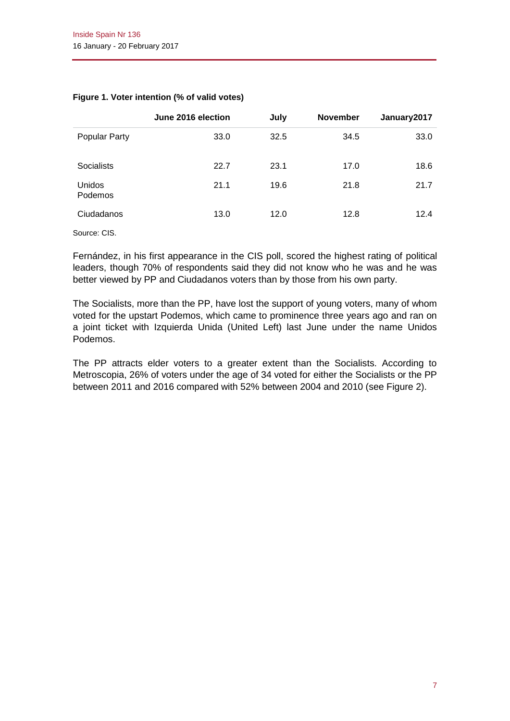|                   | June 2016 election | July | <b>November</b> | January2017 |
|-------------------|--------------------|------|-----------------|-------------|
| Popular Party     | 33.0               | 32.5 | 34.5            | 33.0        |
| <b>Socialists</b> | 22.7               | 23.1 | 17.0            | 18.6        |
| Unidos<br>Podemos | 21.1               | 19.6 | 21.8            | 21.7        |
| Ciudadanos        | 13.0               | 12.0 | 12.8            | 12.4        |

### **Figure 1. Voter intention (% of valid votes)**

Source: CIS.

Fernández, in his first appearance in the CIS poll, scored the highest rating of political leaders, though 70% of respondents said they did not know who he was and he was better viewed by PP and Ciudadanos voters than by those from his own party.

The Socialists, more than the PP, have lost the support of young voters, many of whom voted for the upstart Podemos, which came to prominence three years ago and ran on a joint ticket with Izquierda Unida (United Left) last June under the name Unidos Podemos.

The PP attracts elder voters to a greater extent than the Socialists. According to Metroscopia, 26% of voters under the age of 34 voted for either the Socialists or the PP between 2011 and 2016 compared with 52% between 2004 and 2010 (see Figure 2).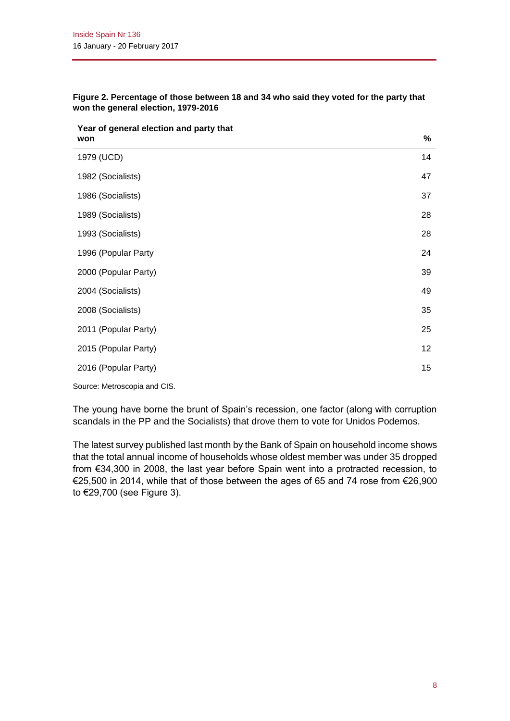| Year of general election and party that |    |
|-----------------------------------------|----|
| won                                     | %  |
| 1979 (UCD)                              | 14 |
| 1982 (Socialists)                       | 47 |
| 1986 (Socialists)                       | 37 |
| 1989 (Socialists)                       | 28 |
| 1993 (Socialists)                       | 28 |
| 1996 (Popular Party                     | 24 |
| 2000 (Popular Party)                    | 39 |
| 2004 (Socialists)                       | 49 |
| 2008 (Socialists)                       | 35 |
| 2011 (Popular Party)                    | 25 |
| 2015 (Popular Party)                    | 12 |
| 2016 (Popular Party)                    | 15 |
|                                         |    |

**Figure 2. Percentage of those between 18 and 34 who said they voted for the party that won the general election, 1979-2016**

Source: Metroscopia and CIS.

The young have borne the brunt of Spain's recession, one factor (along with corruption scandals in the PP and the Socialists) that drove them to vote for Unidos Podemos.

The latest survey published last month by the Bank of Spain on household income shows that the total annual income of households whose oldest member was under 35 dropped from €34,300 in 2008, the last year before Spain went into a protracted recession, to €25,500 in 2014, while that of those between the ages of 65 and 74 rose from €26,900 to €29,700 (see Figure 3).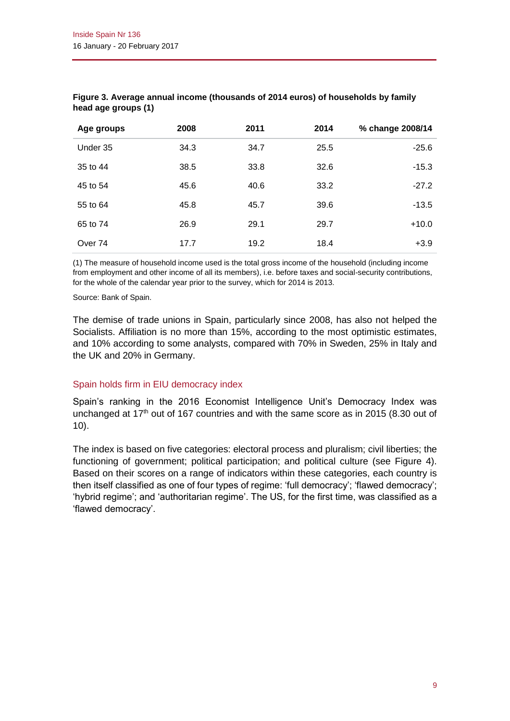| Age groups         | 2008 | 2011 | 2014 | % change 2008/14 |
|--------------------|------|------|------|------------------|
| Under 35           | 34.3 | 34.7 | 25.5 | $-25.6$          |
| 35 to 44           | 38.5 | 33.8 | 32.6 | $-15.3$          |
| 45 to 54           | 45.6 | 40.6 | 33.2 | $-27.2$          |
| 55 to 64           | 45.8 | 45.7 | 39.6 | $-13.5$          |
| 65 to 74           | 26.9 | 29.1 | 29.7 | $+10.0$          |
| Over <sub>74</sub> | 17.7 | 19.2 | 18.4 | $+3.9$           |

### **Figure 3. Average annual income (thousands of 2014 euros) of households by family head age groups (1)**

(1) The measure of household income used is the total gross income of the household (including income from employment and other income of all its members), i.e. before taxes and social-security contributions, for the whole of the calendar year prior to the survey, which for 2014 is 2013.

Source: Bank of Spain.

The demise of trade unions in Spain, particularly since 2008, has also not helped the Socialists. Affiliation is no more than 15%, according to the most optimistic estimates, and 10% according to some analysts, compared with 70% in Sweden, 25% in Italy and the UK and 20% in Germany.

### Spain holds firm in EIU democracy index

Spain's ranking in the 2016 Economist Intelligence Unit's Democracy Index was unchanged at  $17<sup>th</sup>$  out of 167 countries and with the same score as in 2015 (8.30 out of 10).

The index is based on five categories: electoral process and pluralism; civil liberties; the functioning of government; political participation; and political culture (see Figure 4). Based on their scores on a range of indicators within these categories, each country is then itself classified as one of four types of regime: 'full democracy'; 'flawed democracy'; 'hybrid regime'; and 'authoritarian regime'. The US, for the first time, was classified as a 'flawed democracy'.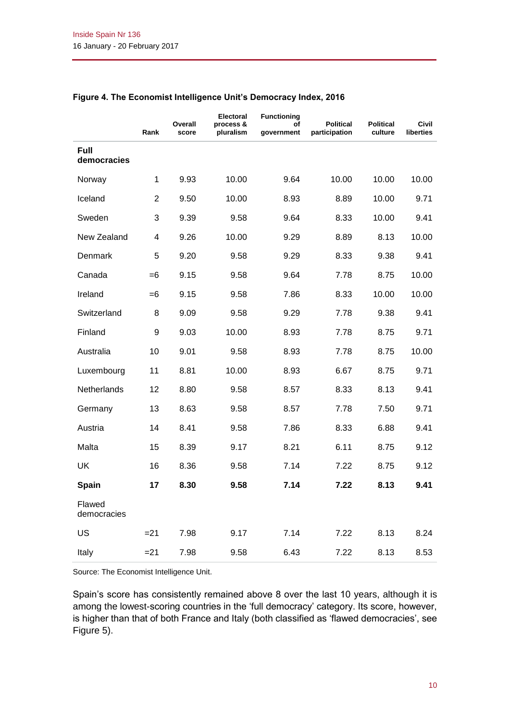|                            | Rank           | Overall<br>score | Electoral<br>process &<br>pluralism | <b>Functioning</b><br>οf<br>government | <b>Political</b><br>participation | <b>Political</b><br>culture | <b>Civil</b><br>liberties |
|----------------------------|----------------|------------------|-------------------------------------|----------------------------------------|-----------------------------------|-----------------------------|---------------------------|
| <b>Full</b><br>democracies |                |                  |                                     |                                        |                                   |                             |                           |
| Norway                     | 1              | 9.93             | 10.00                               | 9.64                                   | 10.00                             | 10.00                       | 10.00                     |
| Iceland                    | $\overline{2}$ | 9.50             | 10.00                               | 8.93                                   | 8.89                              | 10.00                       | 9.71                      |
| Sweden                     | 3              | 9.39             | 9.58                                | 9.64                                   | 8.33                              | 10.00                       | 9.41                      |
| New Zealand                | 4              | 9.26             | 10.00                               | 9.29                                   | 8.89                              | 8.13                        | 10.00                     |
| Denmark                    | 5              | 9.20             | 9.58                                | 9.29                                   | 8.33                              | 9.38                        | 9.41                      |
| Canada                     | $=6$           | 9.15             | 9.58                                | 9.64                                   | 7.78                              | 8.75                        | 10.00                     |
| Ireland                    | $=6$           | 9.15             | 9.58                                | 7.86                                   | 8.33                              | 10.00                       | 10.00                     |
| Switzerland                | 8              | 9.09             | 9.58                                | 9.29                                   | 7.78                              | 9.38                        | 9.41                      |
| Finland                    | 9              | 9.03             | 10.00                               | 8.93                                   | 7.78                              | 8.75                        | 9.71                      |
| Australia                  | 10             | 9.01             | 9.58                                | 8.93                                   | 7.78                              | 8.75                        | 10.00                     |
| Luxembourg                 | 11             | 8.81             | 10.00                               | 8.93                                   | 6.67                              | 8.75                        | 9.71                      |
| Netherlands                | 12             | 8.80             | 9.58                                | 8.57                                   | 8.33                              | 8.13                        | 9.41                      |
| Germany                    | 13             | 8.63             | 9.58                                | 8.57                                   | 7.78                              | 7.50                        | 9.71                      |
| Austria                    | 14             | 8.41             | 9.58                                | 7.86                                   | 8.33                              | 6.88                        | 9.41                      |
| Malta                      | 15             | 8.39             | 9.17                                | 8.21                                   | 6.11                              | 8.75                        | 9.12                      |
| UK                         | 16             | 8.36             | 9.58                                | 7.14                                   | 7.22                              | 8.75                        | 9.12                      |
| Spain                      | 17             | 8.30             | 9.58                                | 7.14                                   | 7.22                              | 8.13                        | 9.41                      |
| Flawed<br>democracies      |                |                  |                                     |                                        |                                   |                             |                           |
| US                         | $= 21$         | 7.98             | 9.17                                | 7.14                                   | 7.22                              | 8.13                        | 8.24                      |
| Italy                      | $= 21$         | 7.98             | 9.58                                | 6.43                                   | 7.22                              | 8.13                        | 8.53                      |

### **Figure 4. The Economist Intelligence Unit's Democracy Index, 2016**

Source: The Economist Intelligence Unit.

Spain's score has consistently remained above 8 over the last 10 years, although it is among the lowest-scoring countries in the 'full democracy' category. Its score, however, is higher than that of both France and Italy (both classified as 'flawed democracies', see Figure 5).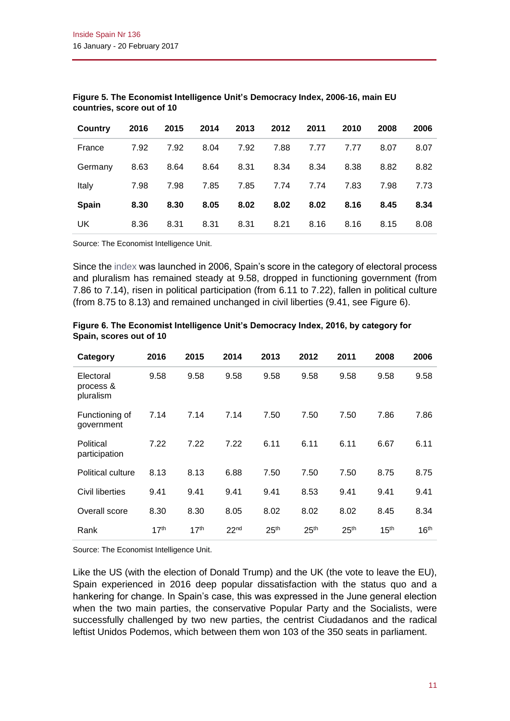| Country      | 2016 | 2015 | 2014 | 2013 | 2012 | 2011 | 2010 | 2008 | 2006 |
|--------------|------|------|------|------|------|------|------|------|------|
| France       | 7.92 | 7.92 | 8.04 | 7.92 | 7.88 | 7.77 | 7.77 | 8.07 | 8.07 |
| Germany      | 8.63 | 8.64 | 8.64 | 8.31 | 8.34 | 8.34 | 8.38 | 8.82 | 8.82 |
| Italy        | 7.98 | 7.98 | 7.85 | 7.85 | 7.74 | 7.74 | 7.83 | 7.98 | 7.73 |
| <b>Spain</b> | 8.30 | 8.30 | 8.05 | 8.02 | 8.02 | 8.02 | 8.16 | 8.45 | 8.34 |
| UK           | 8.36 | 8.31 | 8.31 | 8.31 | 8.21 | 8.16 | 8.16 | 8.15 | 8.08 |

#### **Figure 5. The Economist Intelligence Unit's Democracy Index, 2006-16, main EU countries, score out of 10**

Source: The Economist Intelligence Unit.

Since the [index](http://www.eiu.com/public/thankyou_download.aspx?activity=download&campaignid=DemocracyIndex2016) was launched in 2006, Spain's score in the category of electoral process and pluralism has remained steady at 9.58, dropped in functioning government (from 7.86 to 7.14), risen in political participation (from 6.11 to 7.22), fallen in political culture (from 8.75 to 8.13) and remained unchanged in civil liberties (9.41, see Figure 6).

| Category                            | 2016             | 2015             | 2014             | 2013             | 2012             | 2011             | 2008             | 2006             |
|-------------------------------------|------------------|------------------|------------------|------------------|------------------|------------------|------------------|------------------|
| Electoral<br>process &<br>pluralism | 9.58             | 9.58             | 9.58             | 9.58             | 9.58             | 9.58             | 9.58             | 9.58             |
| Functioning of<br>government        | 7.14             | 7.14             | 7.14             | 7.50             | 7.50             | 7.50             | 7.86             | 7.86             |
| Political<br>participation          | 7.22             | 7.22             | 7.22             | 6.11             | 6.11             | 6.11             | 6.67             | 6.11             |
| Political culture                   | 8.13             | 8.13             | 6.88             | 7.50             | 7.50             | 7.50             | 8.75             | 8.75             |
| Civil liberties                     | 9.41             | 9.41             | 9.41             | 9.41             | 8.53             | 9.41             | 9.41             | 9.41             |
| Overall score                       | 8.30             | 8.30             | 8.05             | 8.02             | 8.02             | 8.02             | 8.45             | 8.34             |
| Rank                                | 17 <sup>th</sup> | 17 <sup>th</sup> | 22 <sub>nd</sub> | 25 <sup>th</sup> | 25 <sup>th</sup> | 25 <sup>th</sup> | 15 <sup>th</sup> | 16 <sup>th</sup> |

**Figure 6. The Economist Intelligence Unit's Democracy Index, 2016, by category for Spain, scores out of 10**

Source: The Economist Intelligence Unit.

Like the US (with the election of Donald Trump) and the UK (the vote to leave the EU), Spain experienced in 2016 deep popular dissatisfaction with the status quo and a hankering for change. In Spain's case, this was expressed in the June general election when the two main parties, the conservative Popular Party and the Socialists, were successfully challenged by two new parties, the centrist Ciudadanos and the radical leftist Unidos Podemos, which between them won 103 of the 350 seats in parliament.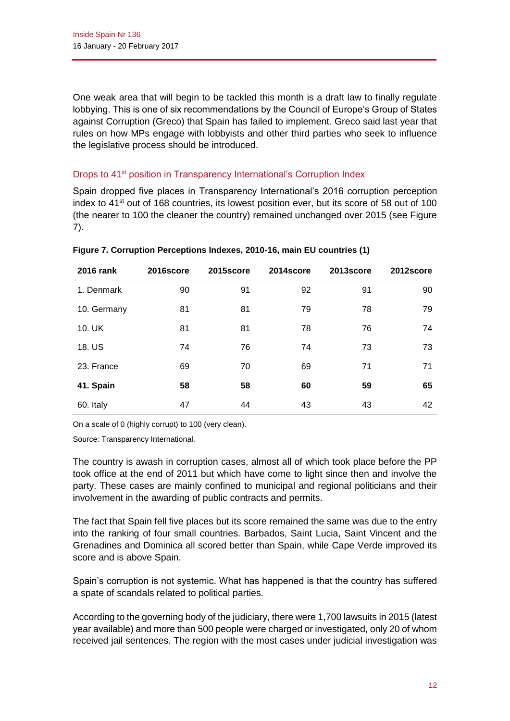One weak area that will begin to be tackled this month is a draft law to finally regulate lobbying. This is one of six recommendations by the Council of Europe's Group of States against Corruption (Greco) that Spain has failed to implement. Greco said last year that rules on how MPs engage with lobbyists and other third parties who seek to influence the legislative process should be introduced.

## Drops to 41<sup>st</sup> position in Transparency International's Corruption Index

Spain dropped five places in Transparency International's 2016 corruption perception index to 41<sup>st</sup> out of 168 countries, its lowest position ever, but its score of 58 out of 100 (the nearer to 100 the cleaner the country) remained unchanged over 2015 (see Figure 7).

| 2016 rank   | 2016score | 2015score | 2014score | 2013score | 2012score |
|-------------|-----------|-----------|-----------|-----------|-----------|
| 1. Denmark  | 90        | 91        | 92        | 91        | 90        |
| 10. Germany | 81        | 81        | 79        | 78        | 79        |
| 10. UK      | 81        | 81        | 78        | 76        | 74        |
| 18. US      | 74        | 76        | 74        | 73        | 73        |
| 23. France  | 69        | 70        | 69        | 71        | 71        |
| 41. Spain   | 58        | 58        | 60        | 59        | 65        |
| 60. Italy   | 47        | 44        | 43        | 43        | 42        |

**Figure 7. Corruption Perceptions Indexes, 2010-16, main EU countries (1)**

On a scale of 0 (highly corrupt) to 100 (very clean).

Source: Transparency International.

The country is awash in corruption cases, almost all of which took place before the PP took office at the end of 2011 but which have come to light since then and involve the party. These cases are mainly confined to municipal and regional politicians and their involvement in the awarding of public contracts and permits.

The fact that Spain fell five places but its score remained the same was due to the entry into the ranking of four small countries. Barbados, Saint Lucia, Saint Vincent and the Grenadines and Dominica all scored better than Spain, while Cape Verde improved its score and is above Spain.

Spain's corruption is not systemic. What has happened is that the country has suffered a spate of scandals related to political parties.

According to the governing body of the judiciary, there were 1,700 lawsuits in 2015 (latest year available) and more than 500 people were charged or investigated, only 20 of whom received jail sentences. The region with the most cases under judicial investigation was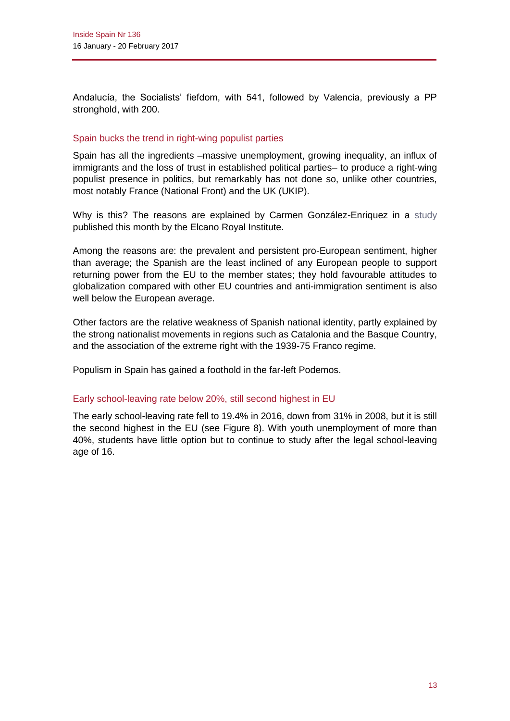Andalucía, the Socialists' fiefdom, with 541, followed by Valencia, previously a PP stronghold, with 200.

### Spain bucks the trend in right-wing populist parties

Spain has all the ingredients –massive unemployment, growing inequality, an influx of immigrants and the loss of trust in established political parties– to produce a right-wing populist presence in politics, but remarkably has not done so, unlike other countries, most notably France (National Front) and the UK (UKIP).

Why is this? The reasons are explained by Carmen González-Enriquez in a [study](http://www.realinstitutoelcano.org/wps/wcm/connect/e9e0d7c1-7c71-4335-a2fb-15b219e62c5e/WP3-2017-GonzalezEnriquez-Spanish-Exception-unemployment-inequality-inmigration-no-right-wing-populist-parties.pdf?MOD=AJPERES&cacheid=1487009991261) published this month by the Elcano Royal Institute.

Among the reasons are: the prevalent and persistent pro-European sentiment, higher than average; the Spanish are the least inclined of any European people to support returning power from the EU to the member states; they hold favourable attitudes to globalization compared with other EU countries and anti-immigration sentiment is also well below the European average.

Other factors are the relative weakness of Spanish national identity, partly explained by the strong nationalist movements in regions such as Catalonia and the Basque Country, and the association of the extreme right with the 1939-75 Franco regime.

Populism in Spain has gained a foothold in the far-left Podemos.

### Early school-leaving rate below 20%, still second highest in EU

The early school-leaving rate fell to 19.4% in 2016, down from 31% in 2008, but it is still the second highest in the EU (see Figure 8). With youth unemployment of more than 40%, students have little option but to continue to study after the legal school-leaving age of 16.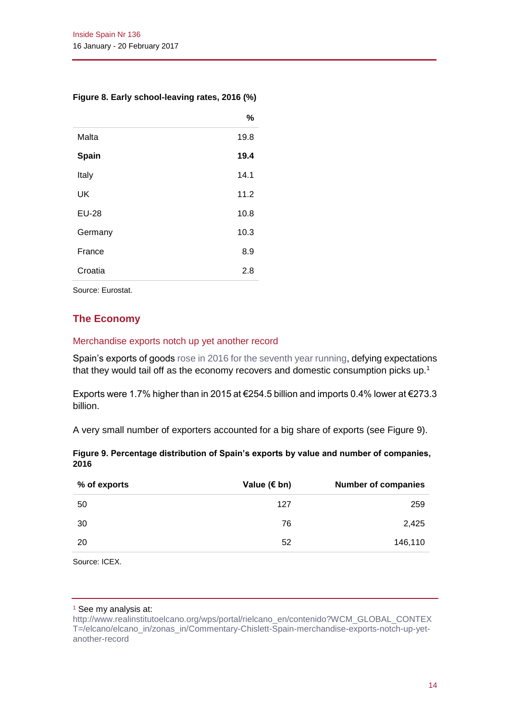### **Figure 8. Early school-leaving rates, 2016 (%)**

|              | %    |
|--------------|------|
| Malta        | 19.8 |
| Spain        | 19.4 |
| Italy        | 14.1 |
| UK           | 11.2 |
| <b>EU-28</b> | 10.8 |
| Germany      | 10.3 |
| France       | 8.9  |
| Croatia      | 2.8  |
|              |      |

Source: Eurostat.

# **The Economy**

### Merchandise exports notch up yet another record

Spain's exports of goods [rose in 2016 for the seventh year running,](http://www.realinstitutoelcano.org/wps/portal/rielcano_en/contenido?WCM_GLOBAL_CONTEXT=/elcano/elcano_in/zonas_in/Commentary-Chislett-Spain-merchandise-exports-notch-up-yet-another-record) defying expectations that they would tail off as the economy recovers and domestic consumption picks up.<sup>1</sup>

Exports were 1.7% higher than in 2015 at €254.5 billion and imports 0.4% lower at €273.3 billion.

A very small number of exporters accounted for a big share of exports (see Figure 9).

|      |  |  |  | Figure 9. Percentage distribution of Spain's exports by value and number of companies, |
|------|--|--|--|----------------------------------------------------------------------------------------|
| 2016 |  |  |  |                                                                                        |

| % of exports | Value ( $\notin$ bn) | <b>Number of companies</b> |
|--------------|----------------------|----------------------------|
| 50           | 127                  | 259                        |
| 30           | 76                   | 2,425                      |
| -20          | 52                   | 146,110                    |
|              |                      |                            |

Source: ICEX.

#### <sup>1</sup> See my analysis at:

[http://www.realinstitutoelcano.org/wps/portal/rielcano\\_en/contenido?WCM\\_GLOBAL\\_CONTEX](http://www.realinstitutoelcano.org/wps/portal/rielcano_en/contenido?WCM_GLOBAL_CONTEXT=/elcano/elcano_in/zonas_in/Commentary-Chislett-Spain-merchandise-exports-notch-up-yet-another-record) [T=/elcano/elcano\\_in/zonas\\_in/Commentary-Chislett-Spain-merchandise-exports-notch-up-yet](http://www.realinstitutoelcano.org/wps/portal/rielcano_en/contenido?WCM_GLOBAL_CONTEXT=/elcano/elcano_in/zonas_in/Commentary-Chislett-Spain-merchandise-exports-notch-up-yet-another-record)[another-record](http://www.realinstitutoelcano.org/wps/portal/rielcano_en/contenido?WCM_GLOBAL_CONTEXT=/elcano/elcano_in/zonas_in/Commentary-Chislett-Spain-merchandise-exports-notch-up-yet-another-record)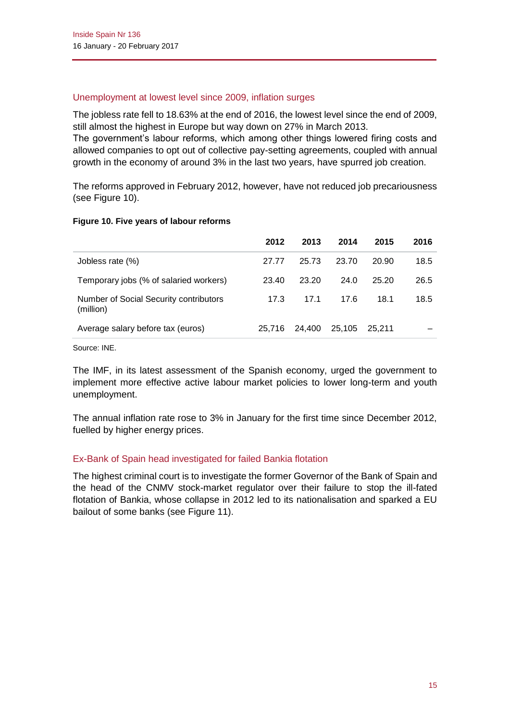### Unemployment at lowest level since 2009, inflation surges

The jobless rate fell to 18.63% at the end of 2016, the lowest level since the end of 2009, still almost the highest in Europe but way down on 27% in March 2013.

The government's labour reforms, which among other things lowered firing costs and allowed companies to opt out of collective pay-setting agreements, coupled with annual growth in the economy of around 3% in the last two years, have spurred job creation.

The reforms approved in February 2012, however, have not reduced job precariousness (see Figure 10).

### **Figure 10. Five years of labour reforms**

|                                                     | 2012   | 2013   | 2014   | 2015   | 2016 |
|-----------------------------------------------------|--------|--------|--------|--------|------|
| Jobless rate (%)                                    | 27.77  | 25.73  | 23.70  | 20.90  | 18.5 |
| Temporary jobs (% of salaried workers)              | 23.40  | 23.20  | 24.0   | 25.20  | 26.5 |
| Number of Social Security contributors<br>(million) | 17.3   | 17.1   | 17.6   | 18.1   | 18.5 |
| Average salary before tax (euros)                   | 25.716 | 24.400 | 25.105 | 25.211 |      |

Source: INE.

The IMF, in its latest assessment of the Spanish economy, urged the government to implement more effective active labour market policies to lower long-term and youth unemployment.

The annual inflation rate rose to 3% in January for the first time since December 2012, fuelled by higher energy prices.

### Ex-Bank of Spain head investigated for failed Bankia flotation

The highest criminal court is to investigate the former Governor of the Bank of Spain and the head of the CNMV stock-market regulator over their failure to stop the ill-fated flotation of Bankia, whose collapse in 2012 led to its nationalisation and sparked a EU bailout of some banks (see Figure 11).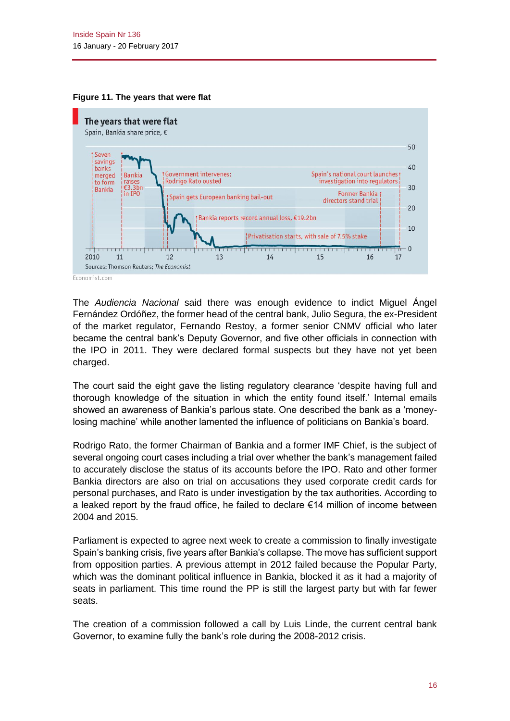



The *Audiencia Nacional* said there was enough evidence to indict Miguel Ángel Fernández Ordóñez, the former head of the central bank, Julio Segura, the ex-President of the market regulator, Fernando Restoy, a former senior CNMV official who later became the central bank's Deputy Governor, and five other officials in connection with the IPO in 2011. They were declared formal suspects but they have not yet been charged.

The court said the eight gave the listing regulatory clearance 'despite having full and thorough knowledge of the situation in which the entity found itself.' Internal emails showed an awareness of Bankia's parlous state. One described the bank as a 'moneylosing machine' while another lamented the influence of politicians on Bankia's board.

Rodrigo Rato, the former Chairman of Bankia and a former IMF Chief, is the subject of several ongoing court cases including a trial over whether the bank's management failed to accurately disclose the status of its accounts before the IPO. Rato and other former Bankia directors are also on trial on accusations they used corporate credit cards for personal purchases, and Rato is under investigation by the tax authorities. According to a leaked report by the fraud office, he failed to declare  $\epsilon$ 14 million of income between 2004 and 2015.

Parliament is expected to agree next week to create a commission to finally investigate Spain's banking crisis, five years after Bankia's collapse. The move has sufficient support from opposition parties. A previous attempt in 2012 failed because the Popular Party, which was the dominant political influence in Bankia, blocked it as it had a majority of seats in parliament. This time round the PP is still the largest party but with far fewer seats.

The creation of a commission followed a call by Luis Linde, the current central bank Governor, to examine fully the bank's role during the 2008-2012 crisis.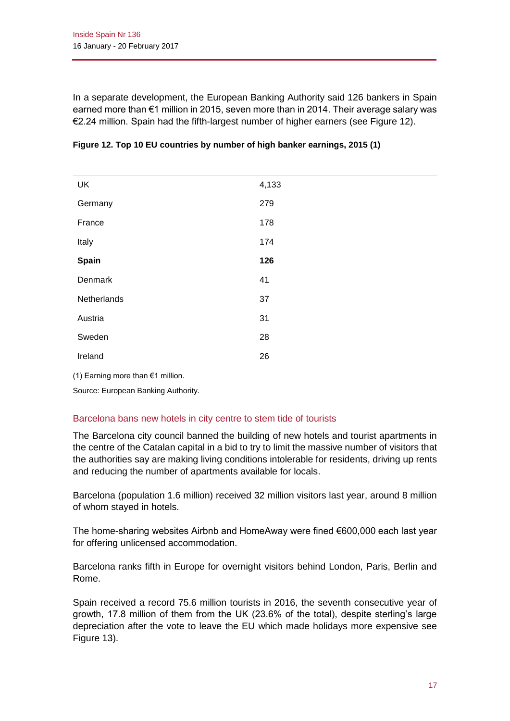In a separate development, the European Banking Authority said 126 bankers in Spain earned more than €1 million in 2015, seven more than in 2014. Their average salary was €2.24 million. Spain had the fifth-largest number of higher earners (see Figure 12).

| UK          | 4,133 |
|-------------|-------|
| Germany     | 279   |
| France      | 178   |
| Italy       | 174   |
| Spain       | 126   |
| Denmark     | 41    |
| Netherlands | 37    |
| Austria     | 31    |
| Sweden      | 28    |
| Ireland     | 26    |

|  | Figure 12. Top 10 EU countries by number of high banker earnings, 2015 (1) |  |  |
|--|----------------------------------------------------------------------------|--|--|
|--|----------------------------------------------------------------------------|--|--|

(1) Earning more than €1 million.

Source: European Banking Authority.

### Barcelona bans new hotels in city centre to stem tide of tourists

The Barcelona city council banned the building of new hotels and tourist apartments in the centre of the Catalan capital in a bid to try to limit the massive number of visitors that the authorities say are making living conditions intolerable for residents, driving up rents and reducing the number of apartments available for locals.

Barcelona (population 1.6 million) received 32 million visitors last year, around 8 million of whom stayed in hotels.

The home-sharing websites Airbnb and HomeAway were fined €600,000 each last year for offering unlicensed accommodation.

Barcelona ranks fifth in Europe for overnight visitors behind London, Paris, Berlin and Rome.

Spain received a record 75.6 million tourists in 2016, the seventh consecutive year of growth, 17.8 million of them from the UK (23.6% of the total), despite sterling's large depreciation after the vote to leave the EU which made holidays more expensive see Figure 13).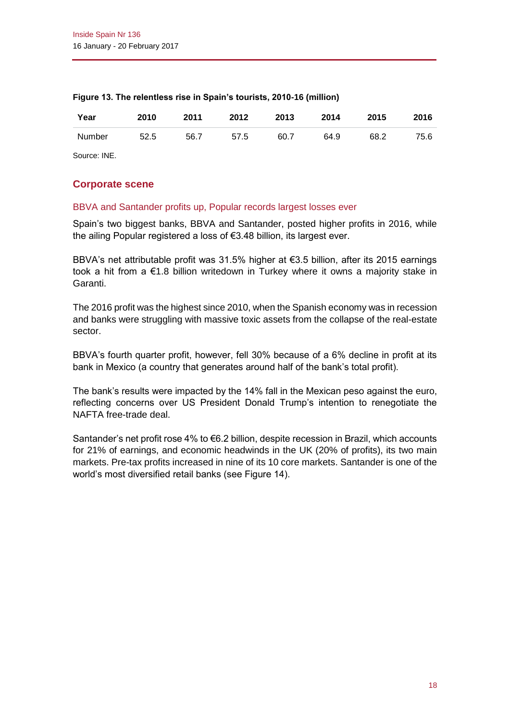| Year   | 2010 | 2011 | 2012 | 2013 | 2014 | 2015 | 2016 |
|--------|------|------|------|------|------|------|------|
| Number | 52.5 | 56.7 | 57.5 | 60.7 | 64.9 | 68.2 | 75.6 |

#### **Figure 13. The relentless rise in Spain's tourists, 2010-16 (million)**

Source: INE.

### **Corporate scene**

### BBVA and Santander profits up, Popular records largest losses ever

Spain's two biggest banks, BBVA and Santander, posted higher profits in 2016, while the ailing Popular registered a loss of €3.48 billion, its largest ever.

BBVA's net attributable profit was 31.5% higher at €3.5 billion, after its 2015 earnings took a hit from a  $\epsilon$ 1.8 billion writedown in Turkey where it owns a majority stake in Garanti.

The 2016 profit was the highest since 2010, when the Spanish economy was in recession and banks were struggling with massive toxic assets from the collapse of the real-estate sector.

BBVA's fourth quarter profit, however, fell 30% because of a 6% decline in profit at its bank in Mexico (a country that generates around half of the bank's total profit).

The bank's results were impacted by the 14% fall in the Mexican peso against the euro, reflecting concerns over US President Donald Trump's intention to renegotiate the NAFTA free-trade deal.

Santander's net profit rose 4% to €6.2 billion, despite recession in Brazil, which accounts for 21% of earnings, and economic headwinds in the UK (20% of profits), its two main markets. Pre-tax profits increased in nine of its 10 core markets. Santander is one of the world's most diversified retail banks (see Figure 14).